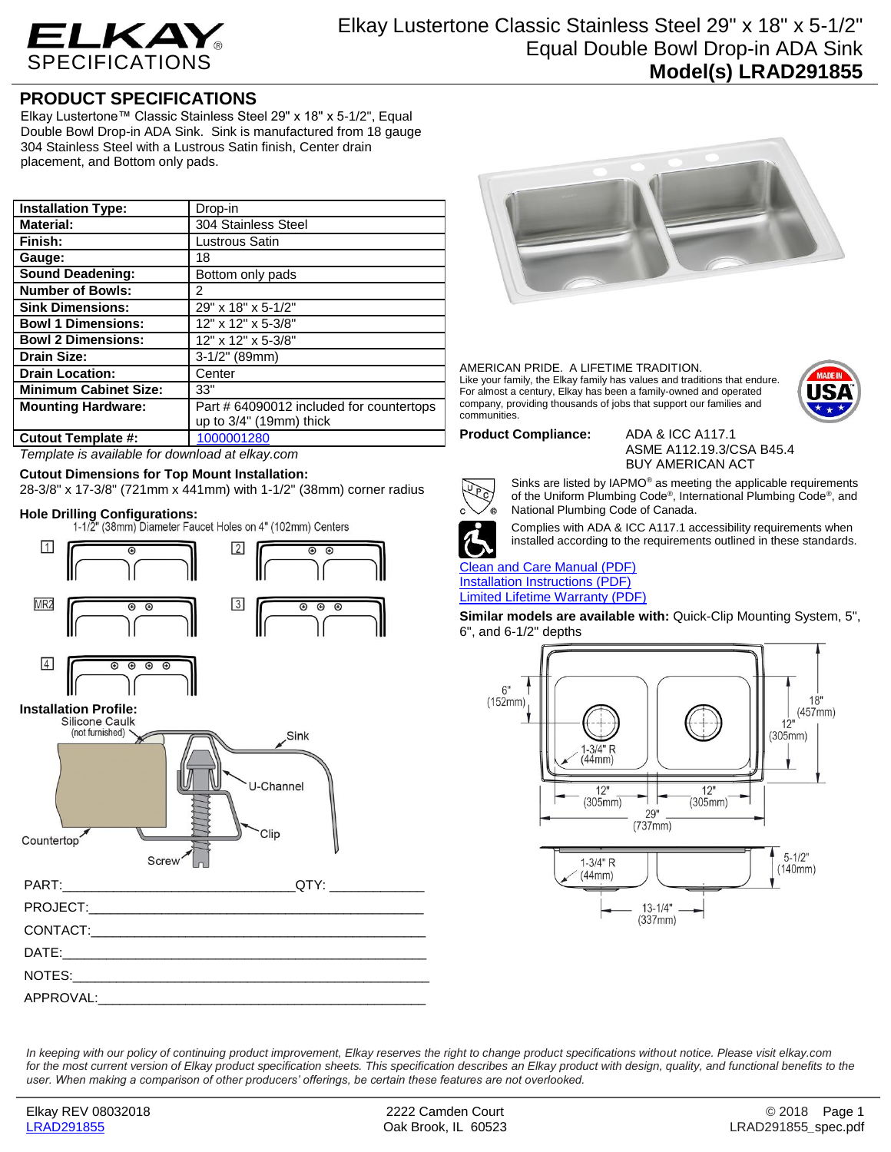

## **PRODUCT SPECIFICATIONS**

Elkay Lustertone™ Classic Stainless Steel 29" x 18" x 5-1/2", Equal Double Bowl Drop-in ADA Sink. Sink is manufactured from 18 gauge 304 Stainless Steel with a Lustrous Satin finish, Center drain placement, and Bottom only pads.

| <b>Installation Type:</b>    | Drop-in                                  |
|------------------------------|------------------------------------------|
| <b>Material:</b>             | 304 Stainless Steel                      |
| Finish:                      | Lustrous Satin                           |
| Gauge:                       | 18                                       |
| Sound Deadening:             | Bottom only pads                         |
| <b>Number of Bowls:</b>      | 2                                        |
| <b>Sink Dimensions:</b>      | 29" x 18" x 5-1/2"                       |
| <b>Bowl 1 Dimensions:</b>    | 12" x 12" x 5-3/8"                       |
| <b>Bowl 2 Dimensions:</b>    | 12" x 12" x 5-3/8"                       |
| <b>Drain Size:</b>           | $3-1/2"$ (89mm)                          |
| <b>Drain Location:</b>       | Center                                   |
| <b>Minimum Cabinet Size:</b> | 33"                                      |
| <b>Mounting Hardware:</b>    | Part # 64090012 included for countertops |
|                              | up to $3/4$ " (19mm) thick               |
| <b>Cutout Template #:</b>    | 1000001280                               |

*Template is available for download at elkay.com*

### **Cutout Dimensions for Top Mount Installation:**

28-3/8" x 17-3/8" (721mm x 441mm) with 1-1/2" (38mm) corner radius

**Hole Drilling Configurations:**





AMERICAN PRIDE. A LIFETIME TRADITION. Like your family, the Elkay family has values and traditions that endure. For almost a century, Elkay has been a family-owned and operated company, providing thousands of jobs that support our families and communities.



**Product Compliance:** ADA & ICC A117.1

ASME A112.19.3/CSA B45.4 BUY AMERICAN ACT



Sinks are listed by IAPMO® as meeting the applicable requirements of the Uniform Plumbing Code®, International Plumbing Code®, and National Plumbing Code of Canada.



Complies with ADA & ICC A117.1 accessibility requirements when installed according to the requirements outlined in these standards.

### [Clean and Care Manual \(PDF\)](http://www.elkay.com/wcsstore/lkdocs/care-cleaning-install-warranty-sheets/residential%20and%20commercial%20care%20%20cleaning.pdf) [Installation Instructions \(PDF\)](http://www.elkay.com/wcsstore/lkdocs/care-cleaning-install-warranty-sheets/74180147.pdf)

[Limited Lifetime Warranty](http://www.elkay.com/wcsstore/lkdocs/care-cleaning-install-warranty-sheets/residential%20sinks%20warranty.pdf) (PDF)

**Similar models are available with:** Quick-Clip Mounting System, 5", 6", and 6-1/2" depths



*In keeping with our policy of continuing product improvement, Elkay reserves the right to change product specifications without notice. Please visit elkay.com*  for the most current version of Elkay product specification sheets. This specification describes an Elkay product with design, quality, and functional benefits to the *user. When making a comparison of other producers' offerings, be certain these features are not overlooked.*